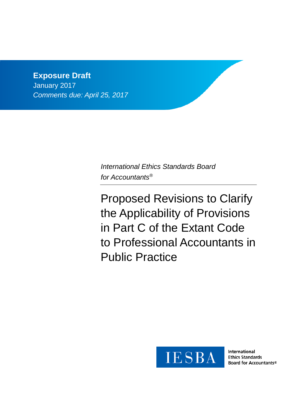# **Exposure Draft**

January 2017 *Comments due: April 25, 2017*

> *International Ethics Standards Board for Accountants®*

Proposed Revisions to Clarify the Applicability of Provisions in Part C of the Extant Code to Professional Accountants in Public Practice



International **Ethics Standards** Board for Accountants®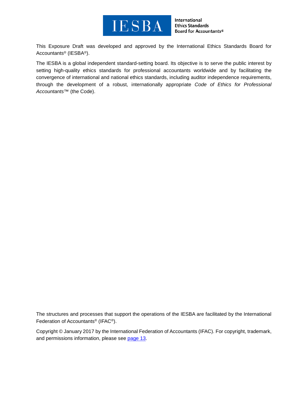

International **Ethics Standards** Board for Accountants®

This Exposure Draft was developed and approved by the [International Ethics Standards Board for](http://www.ifac.org/ethics)  [Accountants®](http://www.ifac.org/ethics) (IESBA®).

The IESBA is a global independent standard-setting board. Its objective is to serve the public interest by setting high-quality ethics standards for professional accountants worldwide and by facilitating the convergence of international and national ethics standards, including auditor independence requirements, through the development of a robust, internationally appropriate *Code of Ethics for Professional Accountants™* (the Code).

The structures and processes that support the operations of the IESBA are facilitated by the International Federation of Accountants® (IFAC®).

Copyright © January 2017 by the International Federation of Accountants (IFAC). For copyright, trademark, and permissions information, please see [page](#page-12-0) 13.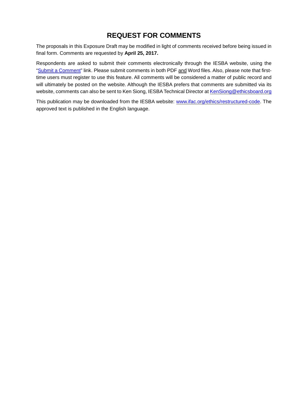## **REQUEST FOR COMMENTS**

The proposals in this Exposure Draft may be modified in light of comments received before being issued in final form. Comments are requested by **April 25, 2017.**

Respondents are asked to submit their comments electronically through the IESBA website, using the ["Submit a Comment"](http://www.ifac.org/publications-resources/proposed-revisions-clarify-applicability-provisions-part-c-extant-code) link. Please submit comments in both PDF and Word files. Also, please note that firsttime users must register to use this feature. All comments will be considered a matter of public record and will ultimately be posted on the website. Although the IESBA prefers that comments are submitted via its website, comments can also be sent to Ken Siong, IESBA Technical Director a[t KenSiong@ethicsboard.org](mailto:KenSiong@ethicsboard.org)

This publication may be downloaded from the IESBA website: [www.ifac.org/ethics/restructured-code.](http://www.ifac.org/ethics/restructured-code) The approved text is published in the English language.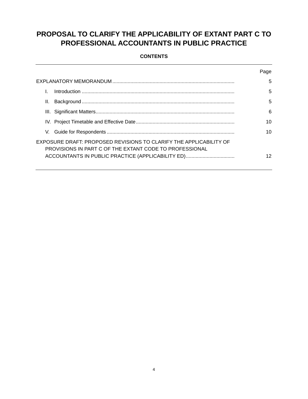# **PROPOSAL TO CLARIFY THE APPLICABILITY OF EXTANT PART C TO PROFESSIONAL ACCOUNTANTS IN PUBLIC PRACTICE**

### **CONTENTS**

|                                                                                                                               | Page |
|-------------------------------------------------------------------------------------------------------------------------------|------|
|                                                                                                                               | 5    |
|                                                                                                                               | 5    |
| Ш.                                                                                                                            | 5    |
|                                                                                                                               | 6    |
|                                                                                                                               | 10   |
| V.                                                                                                                            | 10   |
| EXPOSURE DRAFT: PROPOSED REVISIONS TO CLARIFY THE APPLICABILITY OF<br>PROVISIONS IN PART C OF THE EXTANT CODE TO PROFESSIONAL |      |
|                                                                                                                               | 12   |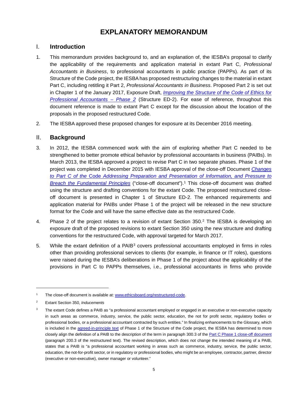## **EXPLANATORY MEMORANDUM**

## <span id="page-4-1"></span><span id="page-4-0"></span>I. **Introduction**

- 1. This memorandum provides background to, and an explanation of, the IESBA's proposal to clarify the applicability of the requirements and application material in extant Part C, *Professional Accountants in Business*, to professional accountants in public practice (PAPPs). As part of its Structure of the Code project, the IESBA has proposed restructuring changes to the material in extant Part C, including retitling it Part 2, *Professional Accountants in Business*. Proposed Part 2 is set out in Chapter 1 of the January 2017, Exposure Draft, *[Improving the Structure of the Code of Ethics for](https://www.ifac.org/publications-resources/improving-structure-code-ethics-professional-accountants-phase-2)  [Professional Accountants –](https://www.ifac.org/publications-resources/improving-structure-code-ethics-professional-accountants-phase-2) Phase 2* (Structure ED-2). For ease of reference, throughout this document reference is made to extant Part C except for the discussion about the location of the proposals in the proposed restructured Code.
- <span id="page-4-2"></span>2. The IESBA approved these proposed changes for exposure at its December 2016 meeting.

## II. **Background**

- 3. In 2012, the IESBA commenced work with the aim of exploring whether Part C needed to be strengthened to better promote ethical behavior by professional accountants in business (PAIBs). In March 2013, the IESBA approved a project to revise Part C in two separate phases. Phase 1 of the project was completed in December 2015 with IESBA approval of the close-off Document *[Changes](https://www.ifac.org/publications-resources/close-changes-part-c-code-addressing-preparation-and-presentation-information)  to Part C of the* Code *[Addressing Preparation and Presentation of Information, and Pressure to](https://www.ifac.org/publications-resources/close-changes-part-c-code-addressing-preparation-and-presentation-information)  [Breach the Fundamental Principles](https://www.ifac.org/publications-resources/close-changes-part-c-code-addressing-preparation-and-presentation-information)* ("close-off document").[1](#page-4-3) This close-off document was drafted using the structure and drafting conventions for the extant Code. The proposed restructured closeoff document is presented in Chapter 1 of Structure ED-2. The enhanced requirements and application material for PAIBs under Phase 1 of the project will be released in the new structure format for the Code and will have the same effective date as the restructured Code.
- 4. Phase [2](#page-4-4) of the project relates to a revision of extant Section 350.<sup>2</sup> The IESBA is developing an exposure draft of the proposed revisions to extant Section 350 using the new structure and drafting conventions for the restructured Code, with approval targeted for March 2017.
- 5. While the extant definition of a PAIB<sup>[3](#page-4-5)</sup> covers professional accountants employed in firms in roles other than providing professional services to clients (for example, in finance or IT roles), questions were raised during the IESBA's deliberations in Phase 1 of the project about the applicability of the provisions in Part C to PAPPs themselves, i.e., professional accountants in firms who provide

-

<span id="page-4-3"></span>The close-off document is available at: [www.ethicsboard.org/restructured-code.](http://www.ethicsboard.org/restructured-code)

<span id="page-4-4"></span><sup>2</sup> Extant Section 350, *Inducements*

<span id="page-4-5"></span><sup>&</sup>lt;sup>3</sup> The extant Code defines a PAIB as "a professional accountant employed or engaged in an executive or non-executive capacity in such areas as commerce, industry, service, the public sector, education, the not for profit sector, regulatory bodies or professional bodies, or a professional accountant contracted by such entities." In finalizing enhancements to the Glossary, which is included in the [agreed-in-principle text](https://www.ifac.org/publications-resources/structure-safeguards-revisions-agreed-principle) of Phase 1 of the Structure of the Code project, the IESBA has determined to more closely align the definition of a PAIB to the description of the term in paragraph 300.3 of th[e Part C Phase 1 close-off document](https://www.ifac.org/publications-resources/close-changes-part-c-code-addressing-preparation-and-presentation-information) (paragraph 200.3 of the restructured text). The revised description, which does not change the intended meaning of a PAIB, states that a PAIB is "a professional accountant working in areas such as commerce, industry, service, the public sector, education, the not-for-profit sector, or in regulatory or professional bodies, who might be an employee, contractor, partner, director (executive or non-executive), owner manager or volunteer."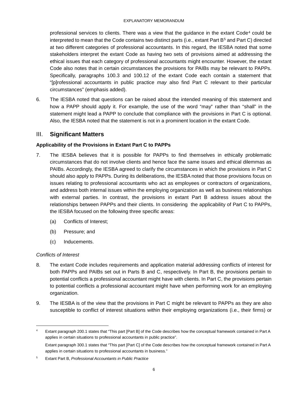professional services to clients. There was a view that the guidance in the extant  $Code<sup>4</sup>$  $Code<sup>4</sup>$  $Code<sup>4</sup>$  could be interpreted to mean that the Code contains two distinct parts (i.e., extant Part B[5](#page-5-2) and Part C) directed at two different categories of professional accountants. In this regard, the IESBA noted that some stakeholders interpret the extant Code as having two sets of provisions aimed at addressing the ethical issues that each category of professional accountants might encounter. However, the extant Code also notes that in certain circumstances the provisions for PAIBs may be relevant to PAPPs. Specifically, paragraphs 100.3 and 100.12 of the extant Code each contain a statement that "[p]rofessional accountants in public practice *may* also find Part C relevant to their particular circumstances" (emphasis added).

6. The IESBA noted that questions can be raised about the intended meaning of this statement and how a PAPP should apply it. For example, the use of the word "may" rather than "shall" in the statement might lead a PAPP to conclude that compliance with the provisions in Part C is optional. Also, the IESBA noted that the statement is not in a prominent location in the extant Code.

## <span id="page-5-0"></span>III. **Significant Matters**

#### **Applicability of the Provisions in Extant Part C to PAPPs**

- 7. The IESBA believes that it is possible for PAPPs to find themselves in ethically problematic circumstances that do not involve clients and hence face the same issues and ethical dilemmas as PAIBs. Accordingly, the IESBA agreed to clarify the circumstances in which the provisions in Part C should also apply to PAPPs. During its deliberations, the IESBA noted that those provisions focus on issues relating to professional accountants who act as employees or contractors of organizations, and address both internal issues within the employing organization as well as business relationships with external parties. In contrast, the provisions in extant Part B address issues about the relationships between PAPPs and their clients. In considering the applicability of Part C to PAPPs, the IESBA focused on the following three specific areas:
	- (a) Conflicts of Interest;
	- (b) Pressure; and
	- (c) Inducements.

#### *Conflicts of Interest*

- 8. The extant Code includes requirements and application material addressing conflicts of interest for both PAPPs and PAIBs set out in Parts B and C, respectively. In Part B, the provisions pertain to potential conflicts a professional accountant might have with clients. In Part C, the provisions pertain to potential conflicts a professional accountant might have when performing work for an employing organization.
- 9. The IESBA is of the view that the provisions in Part C might be relevant to PAPPs as they are also susceptible to conflict of interest situations within their employing organizations (i.e., their firms) or

<span id="page-5-1"></span>Extant paragraph 200.1 states that "This part [Part B] of the Code describes how the conceptual framework contained in Part A applies in certain situations to professional accountants in public practice".

Extant paragraph 300.1 states that "This part [Part C] of the Code describes how the conceptual framework contained in Part A applies in certain situations to professional accountants in business."

<span id="page-5-2"></span><sup>5</sup> Extant Part B, *Professional Accountants in Public Practice*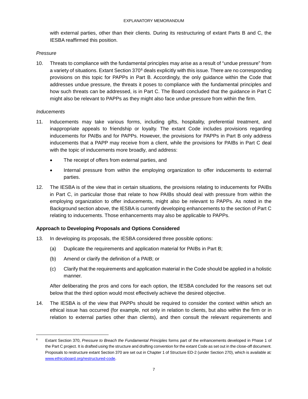with external parties, other than their clients. During its restructuring of extant Parts B and C, the IESBA reaffirmed this position.

#### *Pressure*

10. Threats to compliance with the fundamental principles may arise as a result of "undue pressure" from a variety of situations. Extant Section 370[6](#page-6-0) deals explicitly with this issue. There are no corresponding provisions on this topic for PAPPs in Part B. Accordingly, the only guidance within the Code that addresses undue pressure, the threats it poses to compliance with the fundamental principles and how such threats can be addressed, is in Part C. The Board concluded that the guidance in Part C might also be relevant to PAPPs as they might also face undue pressure from within the firm.

#### *Inducements*

- 11. Inducements may take various forms, including gifts, hospitality, preferential treatment, and inappropriate appeals to friendship or loyalty. The extant Code includes provisions regarding inducements for PAIBs and for PAPPs. However, the provisions for PAPPs in Part B only address inducements that a PAPP may receive from a client, while the provisions for PAIBs in Part C deal with the topic of inducements more broadly, and address:
	- The receipt of offers from external parties, and
	- Internal pressure from within the employing organization to offer inducements to external parties.
- 12. The IESBA is of the view that in certain situations, the provisions relating to inducements for PAIBs in Part C, in particular those that relate to how PAIBs should deal with pressure from within the employing organization to offer inducements, might also be relevant to PAPPs. As noted in the Background section above, the IESBA is currently developing enhancements to the section of Part C relating to inducements. Those enhancements may also be applicable to PAPPs.

#### **Approach to Developing Proposals and Options Considered**

- 13. In developing its proposals, the IESBA considered three possible options:
	- (a) Duplicate the requirements and application material for PAIBs in Part B;
	- (b) Amend or clarify the definition of a PAIB; or
	- (c) Clarify that the requirements and application material in the Code should be applied in a holistic manner.

After deliberating the pros and cons for each option, the IESBA concluded for the reasons set out below that the third option would most effectively achieve the desired objective.

14. The IESBA is of the view that PAPPs should be required to consider the context within which an ethical issue has occurred (for example, not only in relation to clients, but also within the firm or in relation to external parties other than clients), and then consult the relevant requirements and

<span id="page-6-0"></span><sup>-&</sup>lt;br>6 Extant Section 370, *Pressure to Breach the Fundamental Principles* forms part of the enhancements developed in Phase 1 of the Part C project. It is drafted using the structure and drafting convention for the extant Code as set out in the close-off document. Proposals to restructure extant Section 370 are set out in Chapter 1 of Structure ED-2 (under Section 270), which is available at*:*  [www.ethicsboard.org/restructured-code.](http://www.ethicsboard.org/restructured-code)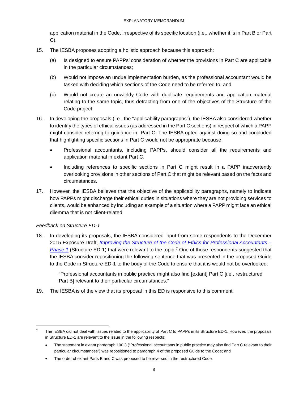application material in the Code, irrespective of its specific location (i.e., whether it is in Part B or Part C).

- 15. The IESBA proposes adopting a holistic approach because this approach:
	- (a) Is designed to ensure PAPPs' consideration of whether the provisions in Part C are applicable in the particular circumstances;
	- (b) Would not impose an undue implementation burden, as the professional accountant would be tasked with deciding which sections of the Code need to be referred to; and
	- (c) Would not create an unwieldy Code with duplicate requirements and application material relating to the same topic, thus detracting from one of the objectives of the Structure of the Code project.
- 16. In developing the proposals (i.e., the "applicability paragraphs"), the IESBA also considered whether to identify the types of ethical issues (as addressed in the Part C sections) in respect of which a PAPP might consider referring to guidance in Part C. The IESBA opted against doing so and concluded that highlighting specific sections in Part C would not be appropriate because:
	- Professional accountants, including PAPPs, should consider all the requirements and application material in extant Part C.
	- Including references to specific sections in Part C might result in a PAPP inadvertently overlooking provisions in other sections of Part C that might be relevant based on the facts and circumstances.
- 17. However, the IESBA believes that the objective of the applicability paragraphs, namely to indicate how PAPPs might discharge their ethical duties in situations where they are not providing services to clients, would be enhanced by including an example of a situation where a PAPP might face an ethical dilemma that is not client-related.

#### *Feedback on Structure ED-1*

18. In developing its proposals, the IESBA considered input from some respondents to the December 2015 Exposure Draft, *[Improving the Structure of the Code of Ethics for Professional Accountants –](http://www.ifac.org/publications-resources/exposure-draft-improving-structure-code-ethics-professional-accountants-phase) [Phase](http://www.ifac.org/publications-resources/exposure-draft-improving-structure-code-ethics-professional-accountants-phase) 1* (Structure ED-1) that were relevant to the topic.[7](#page-7-0) One of those respondents suggested that the IESBA consider repositioning the following sentence that was presented in the proposed Guide to the Code in Structure ED-1 to the body of the Code to ensure that it is would not be overlooked:

"Professional accountants in public practice might also find [extant] Part C [i.e., restructured Part B] relevant to their particular circumstances."

19. The IESBA is of the view that its proposal in this ED is responsive to this comment.

<span id="page-7-0"></span><sup>-&</sup>lt;br>7 The IESBA did not deal with issues related to the applicability of Part C to PAPPs in its Structure ED-1. However, the proposals in Structure ED-1 are relevant to the issue in the following respects:

<sup>•</sup> The statement in extant paragraph 100.3 ("Professional accountants in public practice may also find Part C relevant to their particular circumstances") was repositioned to paragraph 4 of the proposed Guide to the Code; and

<sup>•</sup> The order of extant Parts B and C was proposed to be reversed in the restructured Code.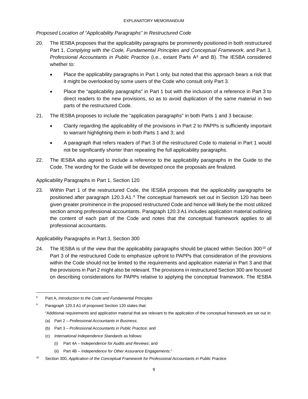*Proposed Location of "Applicability Paragraphs" in Restructured Code*

- 20. The IESBA proposes that the applicability paragraphs be prominently positioned in both restructured Part 1, *Complying with the Code, Fundamental Principles and Conceptual Framework*, and Part 3, *Professional Accountants in Public Practice* (i.e., extant Parts A[8](#page-8-0) and B). The IESBA considered whether to:
	- Place the applicability paragraphs in Part 1 only, but noted that this approach bears a risk that it might be overlooked by some users of the Code who consult only Part 3.
	- Place the "applicability paragraphs" in Part 1 but with the inclusion of a reference in Part 3 to direct readers to the new provisions, so as to avoid duplication of the same material in two parts of the restructured Code.
- 21. The IESBA proposes to include the "application paragraphs" in both Parts 1 and 3 because:
	- Clarity regarding the applicability of the provisions in Part 2 to PAPPs is sufficiently important to warrant highlighting them in both Parts 1 and 3; and
	- A paragraph that refers readers of Part 3 of the restructured Code to material in Part 1 would not be significantly shorter than repeating the full applicability paragraphs.
- 22. The IESBA also agreed to include a reference to the applicability paragraphs in the Guide to the Code. The wording for the Guide will be developed once the proposals are finalized.

Applicability Paragraphs in Part 1, Section 120

23. Within Part 1 of the restructured Code, the IESBA proposes that the applicability paragraphs be positioned after paragraph 120.3 A1.[9](#page-8-1) The conceptual framework set out in Section 120 has been given greater prominence in the proposed restructured Code and hence will likely be the most utilized section among professional accountants. Paragraph 120.3 A1 includes application material outlining the content of each part of the Code and notes that the conceptual framework applies to all professional accountants.

Applicability Paragraphs in Part 3, Section 300

24. The IESBA is of the view that the applicability paragraphs should be placed within Section 300<sup>[10](#page-8-2)</sup> of Part 3 of the restructured Code to emphasize upfront to PAPPs that consideration of the provisions within the Code should not be limited to the requirements and application material in Part 3 and that the provisions in Part 2 might also be relevant. The provisions in restructured Section 300 are focused on describing considerations for PAPPs relative to applying the conceptual framework. The IESBA

- (b) Part 3 *Professional Accountants in Public Practice*; and
- (c) *International Independence Standards* as follows:
	- (i) Part 4A *Independence for Audits and Reviews*; and
	- (ii) Part 4B *Independence for Other Assurance Engagements*."
- <span id="page-8-2"></span><sup>10</sup> Section 300, *Application of the Conceptual Framework for Professional Accountants in Public Practice*

<span id="page-8-0"></span> <sup>8</sup> Part A, *Introduction to the Code and Fundamental Principles* 

<span id="page-8-1"></span>Paragraph 120.3 A1 of proposed Section 120 states that: "Additional requirements and application material that are relevant to the application of the conceptual framework are set out in:

<sup>(</sup>a) Part 2 – *Professional Accountants in Business*;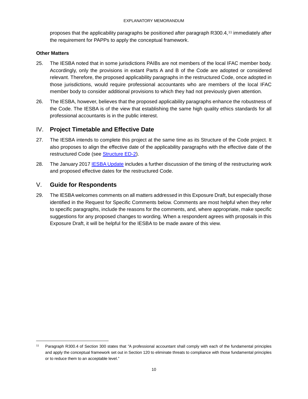proposes that the applicability paragraphs be positioned after paragraph R300.4,[11](#page-9-2) immediately after the requirement for PAPPs to apply the conceptual framework.

#### **Other Matters**

- 25. The IESBA noted that in some jurisdictions PAIBs are not members of the local IFAC member body. Accordingly, only the provisions in extant Parts A and B of the Code are adopted or considered relevant. Therefore, the proposed applicability paragraphs in the restructured Code, once adopted in those jurisdictions, would require professional accountants who are members of the local IFAC member body to consider additional provisions to which they had not previously given attention.
- 26. The IESBA, however, believes that the proposed applicability paragraphs enhance the robustness of the Code. The IESBA is of the view that establishing the same high quality ethics standards for all professional accountants is in the public interest.

## <span id="page-9-0"></span>IV. **Project Timetable and Effective Date**

- 27. The IESBA intends to complete this project at the same time as its Structure of the Code project. It also proposes to align the effective date of the applicability paragraphs with the effective date of the restructured Code (see [Structure ED-2\)](https://www.ifac.org/publications-resources/improving-structure-code-ethics-professional-accountants-phase-2).
- 28. The January 2017 [IESBA Update](https://www.ifac.org/publications-resources/iesba-update-toward-restrutured-international-code-ethics) includes a further discussion of the timing of the restructuring work and proposed effective dates for the restructured Code.

## <span id="page-9-1"></span>V. **Guide for Respondents**

29. The IESBA welcomes comments on all matters addressed in this Exposure Draft, but especially those identified in the Request for Specific Comments below. Comments are most helpful when they refer to specific paragraphs, include the reasons for the comments, and, where appropriate, make specific suggestions for any proposed changes to wording. When a respondent agrees with proposals in this Exposure Draft, it will be helpful for the IESBA to be made aware of this view.

<span id="page-9-2"></span> <sup>11</sup> Paragraph R300.4 of Section 300 states that *"*A professional accountant shall comply with each of the fundamental principles and apply the conceptual framework set out in Section 120 to eliminate threats to compliance with those fundamental principles or to reduce them to an acceptable level."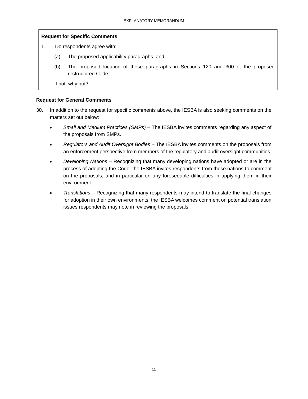#### **Request for Specific Comments**

- 1. Do respondents agree with:
	- (a) The proposed applicability paragraphs; and
	- (b) The proposed location of those paragraphs in Sections 120 and 300 of the proposed restructured Code.

If not, why not?

#### **Request for General Comments**

- 30. In addition to the request for specific comments above, the IESBA is also seeking comments on the matters set out below:
	- *Small and Medium Practices (SMPs) –* The IESBA invites comments regarding any aspect of the proposals from SMPs.
	- *Regulators and Audit Oversight Bodies –* The IESBA invites comments on the proposals from an enforcement perspective from members of the regulatory and audit oversight communities.
	- *Developing Nations –* Recognizing that many developing nations have adopted or are in the process of adopting the Code, the IESBA invites respondents from these nations to comment on the proposals, and in particular on any foreseeable difficulties in applying them in their environment.
	- *Translations –* Recognizing that many respondents may intend to translate the final changes for adoption in their own environments, the IESBA welcomes comment on potential translation issues respondents may note in reviewing the proposals.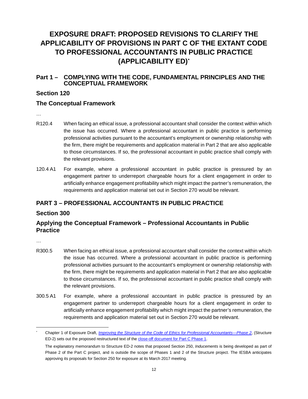# <span id="page-11-0"></span>**EXPOSURE DRAFT: PROPOSED REVISIONS TO CLARIFY THE APPLICABILITY OF PROVISIONS IN PART C OF THE EXTANT CODE TO PROFESSIONAL ACCOUNTANTS IN PUBLIC PRACTICE (APPLICABILITY ED)[\\*](#page-11-1)**

## **Part 1 – COMPLYING WITH THE CODE, FUNDAMENTAL PRINCIPLES AND THE CONCEPTUAL FRAMEWORK**

## **Section 120**

## **The Conceptual Framework**

…

- R120.4 When facing an ethical issue, a professional accountant shall consider the context within which the issue has occurred. Where a professional accountant in public practice is performing professional activities pursuant to the accountant's employment or ownership relationship with the firm, there might be requirements and application material in Part 2 that are also applicable to those circumstances. If so, the professional accountant in public practice shall comply with the relevant provisions.
- 120.4 A1 For example, where a professional accountant in public practice is pressured by an engagement partner to underreport chargeable hours for a client engagement in order to artificially enhance engagement profitability which might impact the partner's remuneration, the requirements and application material set out in Section 270 would be relevant.

## **PART 3 – PROFESSIONAL ACCOUNTANTS IN PUBLIC PRACTICE**

## **Section 300**

## **Applying the Conceptual Framework – Professional Accountants in Public Practice**

…

- R300.5 When facing an ethical issue, a professional accountant shall consider the context within which the issue has occurred. Where a professional accountant in public practice is performing professional activities pursuant to the accountant's employment or ownership relationship with the firm, there might be requirements and application material in Part 2 that are also applicable to those circumstances. If so, the professional accountant in public practice shall comply with the relevant provisions.
- 300.5 A1 For example, where a professional accountant in public practice is pressured by an engagement partner to underreport chargeable hours for a client engagement in order to artificially enhance engagement profitability which might impact the partner's remuneration, the requirements and application material set out in Section 270 would be relevant.

<span id="page-11-1"></span> <sup>\*</sup> Chapter 1 of Exposure Draft, *[Improving the Structure of the Code of Ethics for Professional Accountants—Phase 2](https://www.ifac.org/publications-resources/improving-structure-code-ethics-professional-accountants-phase-2)*, (Structure ED-2) sets out the proposed restructured text of th[e close-off document for Part C Phase 1.](http://www.ethicsboard.org/system/files/meetings/files/Agenda-Item-D-3.1-Part-C-Phase-1-Close-Off-Document.pdf)

The explanatory memorandum to Structure ED-2 notes that proposed Section 250, *Inducements* is being developed as part of Phase 2 of the Part C project, and is outside the scope of Phases 1 and 2 of the Structure project. The IESBA anticipates approving its proposals for Section 250 for exposure at its March 2017 meeting.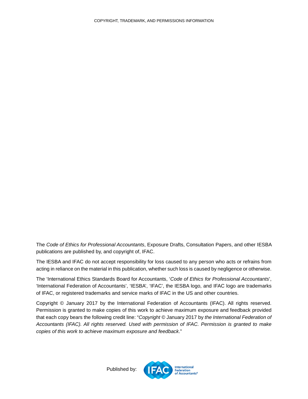The *Code of Ethics for Professional Accountants*, Exposure Drafts, Consultation Papers, and other IESBA publications are published by, and copyright of, IFAC.

The IESBA and IFAC do not accept responsibility for loss caused to any person who acts or refrains from acting in reliance on the material in this publication, whether such loss is caused by negligence or otherwise.

The 'International Ethics Standards Board for Accountants, '*Code of Ethics for Professional Accountants*', 'International Federation of Accountants', 'IESBA', 'IFAC', the IESBA logo, and IFAC logo are trademarks of IFAC, or registered trademarks and service marks of IFAC in the US and other countries.

<span id="page-12-0"></span>Copyright © January 2017 by the International Federation of Accountants (IFAC). All rights reserved. Permission is granted to make copies of this work to achieve maximum exposure and feedback provided that each copy bears the following credit line: "*Copyright ©* January 2017 by *the International Federation of Accountants (IFAC). All rights reserved. Used with permission of IFAC. Permission is granted to make copies of this work to achieve maximum exposure and feedback*."